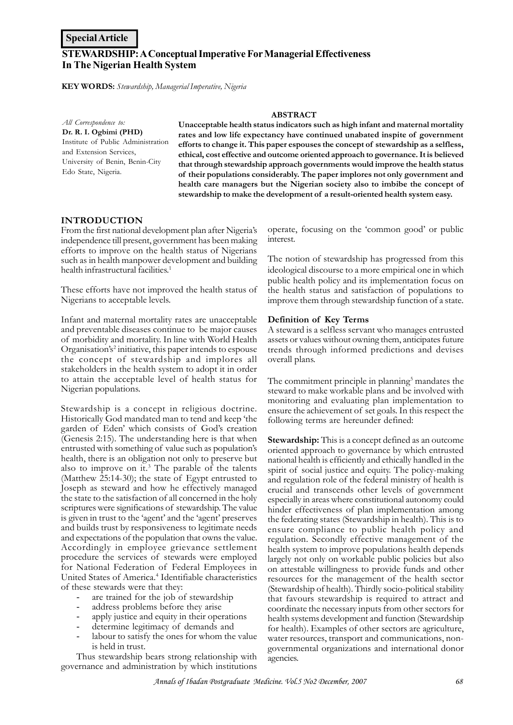# **STEWARDSHIP: A Conceptual Imperative For Managerial Effectiveness In The Nigerian Health System**

**KEY WORDS:** *Stewardship, Managerial Imperative, Nigeria*

*All Correspondence to:* **Dr. R. I. Ogbimi (PHD)** Institute of Public Administration and Extension Services, University of Benin, Benin-City Edo State, Nigeria.

#### **ABSTRACT**

**Unacceptable health status indicators such as high infant and maternal mortality rates and low life expectancy have continued unabated inspite of government efforts to change it. This paper espouses the concept of stewardship as a selfless, ethical, cost effective and outcome oriented approach to governance. It is believed that through stewardship approach governments would improve the health status of their populations considerably. The paper implores not only government and health care managers but the Nigerian society also to imbibe the concept of stewardship to make the development of a result-oriented health system easy.**

#### **INTRODUCTION**

From the first national development plan after Nigeria's independence till present, government has been making efforts to improve on the health status of Nigerians such as in health manpower development and building health infrastructural facilities.<sup>1</sup>

These efforts have not improved the health status of Nigerians to acceptable levels.

Infant and maternal mortality rates are unacceptable and preventable diseases continue to be major causes of morbidity and mortality. In line with World Health Organisation's<sup>2</sup> initiative, this paper intends to espouse the concept of stewardship and implores all stakeholders in the health system to adopt it in order to attain the acceptable level of health status for Nigerian populations.

Stewardship is a concept in religious doctrine. Historically God mandated man to tend and keep 'the garden of Eden' which consists of God's creation (Genesis 2:15). The understanding here is that when entrusted with something of value such as population's health, there is an obligation not only to preserve but also to improve on it.<sup>3</sup> The parable of the talents (Matthew 25:14-30); the state of Egypt entrusted to Joseph as steward and how he effectively managed the state to the satisfaction of all concerned in the holy scriptures were significations of stewardship. The value is given in trust to the 'agent' and the 'agent' preserves and builds trust by responsiveness to legitimate needs and expectations of the population that owns the value. Accordingly in employee grievance settlement procedure the services of stewards were employed for National Federation of Federal Employees in United States of America.<sup>4</sup> Identifiable characteristics of these stewards were that they:

- are trained for the job of stewardship
- address problems before they arise
- apply justice and equity in their operations
- determine legitimacy of demands and
- labour to satisfy the ones for whom the value is held in trust.

Thus stewardship bears strong relationship with governance and administration by which institutions operate, focusing on the 'common good' or public interest.

The notion of stewardship has progressed from this ideological discourse to a more empirical one in which public health policy and its implementation focus on the health status and satisfaction of populations to improve them through stewardship function of a state.

#### **Definition of Key Terms**

A steward is a selfless servant who manages entrusted assets or values without owning them, anticipates future trends through informed predictions and devises overall plans.

The commitment principle in planning<sup>5</sup> mandates the steward to make workable plans and be involved with monitoring and evaluating plan implementation to ensure the achievement of set goals. In this respect the following terms are hereunder defined:

**Stewardship:** This is a concept defined as an outcome oriented approach to governance by which entrusted national health is efficiently and ethically handled in the spirit of social justice and equity. The policy-making and regulation role of the federal ministry of health is crucial and transcends other levels of government especially in areas where constitutional autonomy could hinder effectiveness of plan implementation among the federating states (Stewardship in health). This is to ensure compliance to public health policy and regulation. Secondly effective management of the health system to improve populations health depends largely not only on workable public policies but also on attestable willingness to provide funds and other resources for the management of the health sector (Stewardship of health). Thirdly socio-political stability that favours stewardship is required to attract and coordinate the necessary inputs from other sectors for health systems development and function (Stewardship for health). Examples of other sectors are agriculture, water resources, transport and communications, nongovernmental organizations and international donor agencies.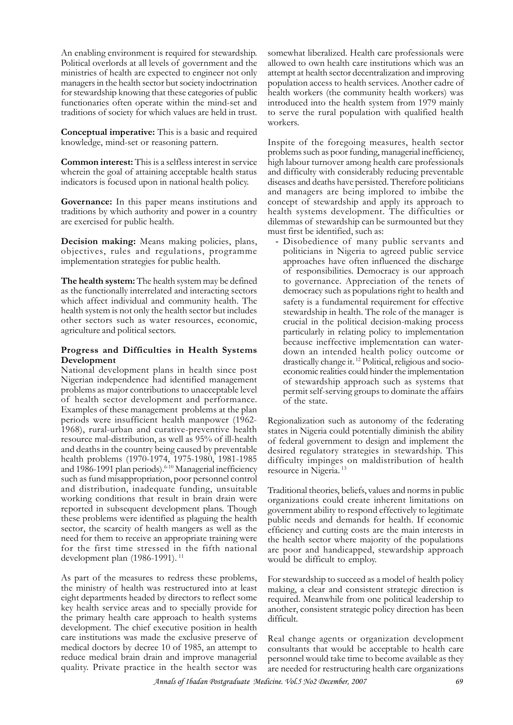An enabling environment is required for stewardship. Political overlords at all levels of government and the ministries of health are expected to engineer not only managers in the health sector but society indoctrination for stewardship knowing that these categories of public functionaries often operate within the mind-set and traditions of society for which values are held in trust.

**Conceptual imperative:** This is a basic and required knowledge, mind-set or reasoning pattern.

**Common interest:** This is a selfless interest in service wherein the goal of attaining acceptable health status indicators is focused upon in national health policy.

**Governance:** In this paper means institutions and traditions by which authority and power in a country are exercised for public health.

**Decision making:** Means making policies, plans, objectives, rules and regulations, programme implementation strategies for public health.

**The health system:** The health system may be defined as the functionally interrelated and interacting sectors which affect individual and community health. The health system is not only the health sector but includes other sectors such as water resources, economic, agriculture and political sectors.

## **Progress and Difficulties in Health Systems Development**

National development plans in health since post Nigerian independence had identified management problems as major contributions to unacceptable level of health sector development and performance. Examples of these management problems at the plan periods were insufficient health manpower (1962- 1968), rural-urban and curative-preventive health resource mal-distribution, as well as 95% of ill-health and deaths in the country being caused by preventable health problems (1970-1974, 1975-1980, 1981-1985 and 1986-1991 plan periods).<sup>6-10</sup> Managerial inefficiency such as fund misappropriation, poor personnel control and distribution, inadequate funding, unsuitable working conditions that result in brain drain were reported in subsequent development plans. Though these problems were identified as plaguing the health sector, the scarcity of health mangers as well as the need for them to receive an appropriate training were for the first time stressed in the fifth national development plan (1986-1991).<sup>11</sup>

As part of the measures to redress these problems, the ministry of health was restructured into at least eight departments headed by directors to reflect some key health service areas and to specially provide for the primary health care approach to health systems development. The chief executive position in health care institutions was made the exclusive preserve of medical doctors by decree 10 of 1985, an attempt to reduce medical brain drain and improve managerial quality. Private practice in the health sector was

somewhat liberalized. Health care professionals were allowed to own health care institutions which was an attempt at health sector decentralization and improving population access to health services. Another cadre of health workers (the community health workers) was introduced into the health system from 1979 mainly to serve the rural population with qualified health workers.

Inspite of the foregoing measures, health sector problems such as poor funding, managerial inefficiency, high labour turnover among health care professionals and difficulty with considerably reducing preventable diseases and deaths have persisted. Therefore politicians and managers are being implored to imbibe the concept of stewardship and apply its approach to health systems development. The difficulties or dilemmas of stewardship can be surmounted but they must first be identified, such as:

- Disobedience of many public servants and politicians in Nigeria to agreed public service approaches have often influenced the discharge of responsibilities. Democracy is our approach to governance. Appreciation of the tenets of democracy such as populations right to health and safety is a fundamental requirement for effective stewardship in health. The role of the manager is crucial in the political decision-making process particularly in relating policy to implementation because ineffective implementation can waterdown an intended health policy outcome or drastically change it. 12 Political, religious and socioeconomic realities could hinder the implementation of stewardship approach such as systems that permit self-serving groups to dominate the affairs of the state.

Regionalization such as autonomy of the federating states in Nigeria could potentially diminish the ability of federal government to design and implement the desired regulatory strategies in stewardship. This difficulty impinges on maldistribution of health resource in Nigeria.<sup>13</sup>

Traditional theories, beliefs, values and norms in public organizations could create inherent limitations on government ability to respond effectively to legitimate public needs and demands for health. If economic efficiency and cutting costs are the main interests in the health sector where majority of the populations are poor and handicapped, stewardship approach would be difficult to employ.

For stewardship to succeed as a model of health policy making, a clear and consistent strategic direction is required. Meanwhile from one political leadership to another, consistent strategic policy direction has been difficult.

Real change agents or organization development consultants that would be acceptable to health care personnel would take time to become available as they are needed for restructuring health care organizations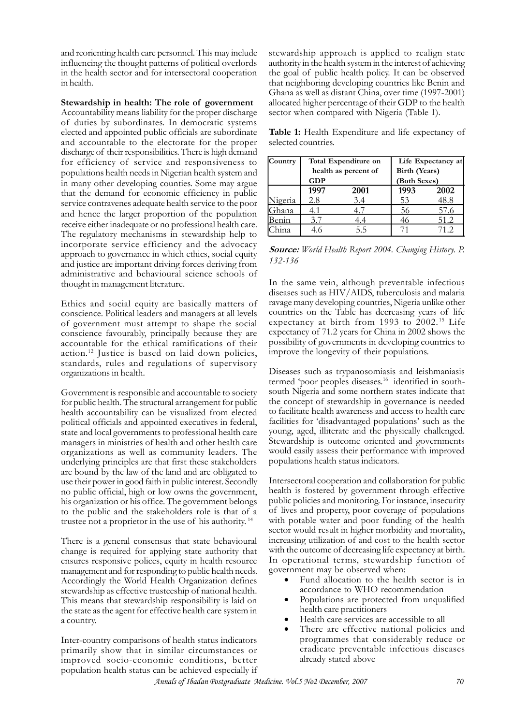and reorienting health care personnel. This may include influencing the thought patterns of political overlords in the health sector and for intersectoral cooperation in health.

**Stewardship in health: The role of government** Accountability means liability for the proper discharge of duties by subordinates. In democratic systems elected and appointed public officials are subordinate and accountable to the electorate for the proper discharge of their responsibilities. There is high demand for efficiency of service and responsiveness to populations health needs in Nigerian health system and in many other developing counties. Some may argue that the demand for economic efficiency in public service contravenes adequate health service to the poor and hence the larger proportion of the population receive either inadequate or no professional health care. The regulatory mechanisms in stewardship help to incorporate service efficiency and the advocacy approach to governance in which ethics, social equity and justice are important driving forces deriving from administrative and behavioural science schools of thought in management literature.

Ethics and social equity are basically matters of conscience. Political leaders and managers at all levels of government must attempt to shape the social conscience favourably, principally because they are accountable for the ethical ramifications of their action.<sup>12</sup> Justice is based on laid down policies, standards, rules and regulations of supervisory organizations in health.

Government is responsible and accountable to society for public health. The structural arrangement for public health accountability can be visualized from elected political officials and appointed executives in federal, state and local governments to professional health care managers in ministries of health and other health care organizations as well as community leaders. The underlying principles are that first these stakeholders are bound by the law of the land and are obligated to use their power in good faith in public interest. Secondly no public official, high or low owns the government, his organization or his office. The government belongs to the public and the stakeholders role is that of a trustee not a proprietor in the use of his authority.<sup>14</sup>

There is a general consensus that state behavioural change is required for applying state authority that ensures responsive polices, equity in health resource management and for responding to public health needs. Accordingly the World Health Organization defines stewardship as effective trusteeship of national health. This means that stewardship responsibility is laid on the state as the agent for effective health care system in a country.

Inter-country comparisons of health status indicators primarily show that in similar circumstances or improved socio-economic conditions, better population health status can be achieved especially if

stewardship approach is applied to realign state authority in the health system in the interest of achieving the goal of public health policy. It can be observed that neighboring developing countries like Benin and Ghana as well as distant China, over time (1997-2001) allocated higher percentage of their GDP to the health sector when compared with Nigeria (Table 1).

**Table 1:** Health Expenditure and life expectancy of selected countries.

| Country   | Total Expenditure on |      | Life Expectancy at |      |
|-----------|----------------------|------|--------------------|------|
|           | health as percent of |      | Birth (Years)      |      |
|           | <b>GDP</b>           |      | (Both Sexes)       |      |
|           | 1997                 | 2001 | 1993               | 2002 |
| Vigeria   | 2.8                  | 3.4  | 53                 | 48.8 |
| .<br>hana | 4.1                  |      | 56                 | 57.6 |
|           |                      | 4.4  | 46                 | 51.2 |
|           |                      | 5.5  |                    | 71 2 |

*Source: World Health Report 2004. Changing History. P. 132-136*

In the same vein, although preventable infectious diseases such as HIV/AIDS, tuberculosis and malaria ravage many developing countries, Nigeria unlike other countries on the Table has decreasing years of life expectancy at birth from 1993 to  $2002$ .<sup>15</sup> Life expectancy of 71.2 years for China in 2002 shows the possibility of governments in developing countries to improve the longevity of their populations.

Diseases such as trypanosomiasis and leishmaniasis termed 'poor peoples diseases.<sup>16</sup> identified in southsouth Nigeria and some northern states indicate that the concept of stewardship in governance is needed to facilitate health awareness and access to health care facilities for 'disadvantaged populations' such as the young, aged, illiterate and the physically challenged. Stewardship is outcome oriented and governments would easily assess their performance with improved populations health status indicators.

Intersectoral cooperation and collaboration for public health is fostered by government through effective public policies and monitoring. For instance, insecurity of lives and property, poor coverage of populations with potable water and poor funding of the health sector would result in higher morbidity and mortality, increasing utilization of and cost to the health sector with the outcome of decreasing life expectancy at birth. In operational terms, stewardship function of government may be observed when:

- Fund allocation to the health sector is in accordance to WHO recommendation
- Populations are protected from unqualified health care practitioners
- Health care services are accessible to all
- There are effective national policies and programmes that considerably reduce or eradicate preventable infectious diseases already stated above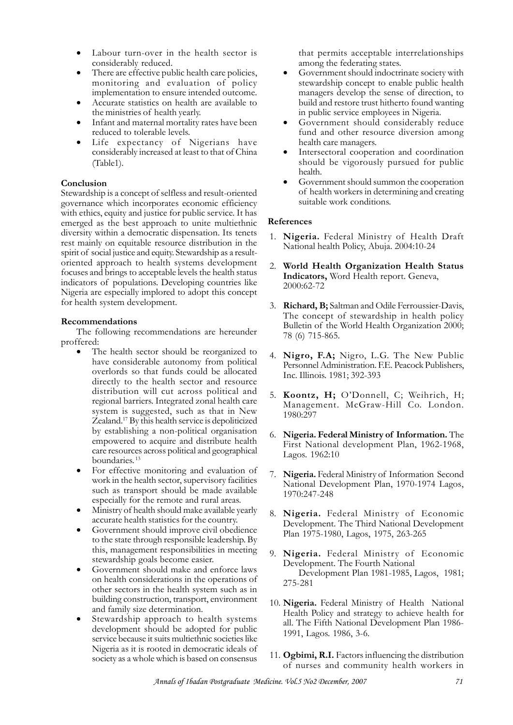- Labour turn-over in the health sector is considerably reduced.
- There are effective public health care policies, monitoring and evaluation of policy implementation to ensure intended outcome.
- Accurate statistics on health are available to the ministries of health yearly.
- Infant and maternal mortality rates have been reduced to tolerable levels.
- Life expectancy of Nigerians have considerably increased at least to that of China (Table1).

### **Conclusion**

Stewardship is a concept of selfless and result-oriented governance which incorporates economic efficiency with ethics, equity and justice for public service. It has emerged as the best approach to unite multiethnic diversity within a democratic dispensation. Its tenets rest mainly on equitable resource distribution in the spirit of social justice and equity. Stewardship as a resultoriented approach to health systems development focuses and brings to acceptable levels the health status indicators of populations. Developing countries like Nigeria are especially implored to adopt this concept for health system development.

### **Recommendations**

The following recommendations are hereunder proffered:

- The health sector should be reorganized to have considerable autonomy from political overlords so that funds could be allocated directly to the health sector and resource distribution will cut across political and regional barriers. Integrated zonal health care system is suggested, such as that in New Zealand.<sup>17</sup> By this health service is depoliticized by establishing a non-political organisation empowered to acquire and distribute health care resources across political and geographical boundaries.<sup>13</sup>
- For effective monitoring and evaluation of work in the health sector, supervisory facilities such as transport should be made available especially for the remote and rural areas.
- Ministry of health should make available yearly accurate health statistics for the country.
- Government should improve civil obedience to the state through responsible leadership. By this, management responsibilities in meeting stewardship goals become easier.
- Government should make and enforce laws on health considerations in the operations of other sectors in the health system such as in building construction, transport, environment and family size determination.
- Stewardship approach to health systems development should be adopted for public service because it suits multiethnic societies like Nigeria as it is rooted in democratic ideals of society as a whole which is based on consensus

that permits acceptable interrelationships among the federating states.

- Government should indoctrinate society with stewardship concept to enable public health managers develop the sense of direction, to build and restore trust hitherto found wanting in public service employees in Nigeria.
- Government should considerably reduce fund and other resource diversion among health care managers.
- Intersectoral cooperation and coordination should be vigorously pursued for public health.
- Government should summon the cooperation of health workers in determining and creating suitable work conditions.

### **References**

- 1. **Nigeria.** Federal Ministry of Health Draft National health Policy, Abuja. 2004:10-24
- 2. **World Health Organization Health Status Indicators,** Word Health report. Geneva, 2000:62-72
- 3. **Richard, B;** Saltman and Odile Ferroussier-Davis, The concept of stewardship in health policy Bulletin of the World Health Organization 2000; 78 (6) 715-865.
- 4. Nigro, F.A; Nigro, L.G. The New Public Personnel Administration. F.E. Peacock Publishers, Inc. Illinois. 1981; 392-393
- 5. **Koontz, H;** O'Donnell, C; Weihrich, H; Management. McGraw-Hill Co. London. 1980:297
- 6. **Nigeria. Federal Ministry of Information.** The First National development Plan, 1962-1968, Lagos. 1962:10
- 7. **Nigeria.** Federal Ministry of Information Second National Development Plan, 1970-1974 Lagos, 1970:247-248
- 8. **Nigeria.** Federal Ministry of Economic Development. The Third National Development Plan 1975-1980, Lagos, 1975, 263-265
- 9. **Nigeria.** Federal Ministry of Economic Development. The Fourth National Development Plan 1981-1985, Lagos, 1981; 275-281
- 10. **Nigeria.** Federal Ministry of Health National Health Policy and strategy to achieve health for all. The Fifth National Development Plan 1986- 1991, Lagos. 1986, 3-6.
- 11. **Ogbimi, R.I.** Factors influencing the distribution of nurses and community health workers in